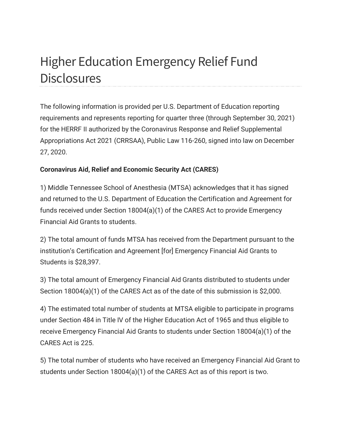## Higher Education Emergency Relief Fund **Disclosures**

The following information is provided per U.S. Department of Education reporting requirements and represents reporting for quarter three (through September 30, 2021) for the HERRF II authorized by the Coronavirus Response and Relief Supplemental Appropriations Act 2021 (CRRSAA), Public Law 116-260, signed into law on December 27, 2020.

## **Coronavirus Aid, Relief and Economic Security Act (CARES)**

1) Middle Tennessee School of Anesthesia (MTSA) acknowledges that it has signed and returned to the U.S. Department of Education the Certification and Agreement for funds received under Section 18004(a)(1) of the CARES Act to provide Emergency Financial Aid Grants to students.

2) The total amount of funds MTSA has received from the Department pursuant to the institution's Certification and Agreement [for] Emergency Financial Aid Grants to Students is \$28,397.

3) The total amount of Emergency Financial Aid Grants distributed to students under Section 18004(a)(1) of the CARES Act as of the date of this submission is \$2,000.

4) The estimated total number of students at MTSA eligible to participate in programs under Section 484 in Title IV of the Higher Education Act of 1965 and thus eligible to receive Emergency Financial Aid Grants to students under Section 18004(a)(1) of the CARES Act is 225.

5) The total number of students who have received an Emergency Financial Aid Grant to students under Section 18004(a)(1) of the CARES Act as of this report is two.